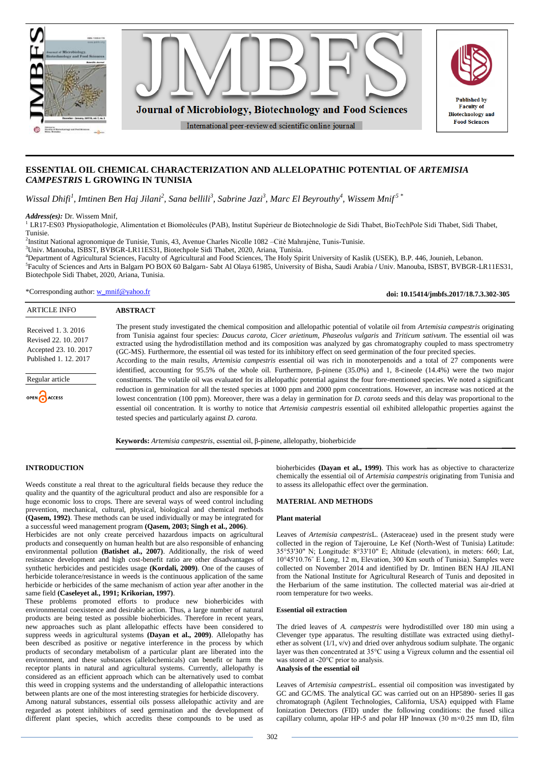

# **ESSENTIAL OIL CHEMICAL CHARACTERIZATION AND ALLELOPATHIC POTENTIAL OF** *ARTEMISIA CAMPESTRIS* **L GROWING IN TUNISIA**

*Wissal Dhifi<sup>1</sup>, Imtinen Ben Haj Jilani<sup>2</sup>, Sana bellili<sup>3</sup>, Sabrine Jazi<sup>3</sup>, Marc El Beyrouthy<sup>4</sup>, Wissem Mnif<sup>5</sup><sup>\*</sup>* 

*Address(es):* Dr. Wissem Mnif,

<sup>1</sup> LR17-ES03 Physiopathologie, Alimentation et Biomolécules (PAB), Institut Supérieur de Biotechnologie de Sidi Thabet, BioTechPole Sidi Thabet, Sidi Thabet, Tunisie.

2 Institut National agronomique de Tunisie, Tunis, 43, Avenue Charles Nicolle 1082 –Cité Mahrajène, Tunis-Tunisie.

tested species and particularly against *D. carota.*

<sup>3</sup>Univ. Manouba, ISBST, BVBGR-LR11ES31, Biotechpole Sidi Thabet, 2020, Ariana, Tunisia.

<sup>4</sup>Department of Agricultural Sciences, Faculty of Agricultural and Food Sciences, The Holy Spirit University of Kaslik (USEK), B.P. 446, Jounieh, Lebanon. 5 Faculty of Sciences and Arts in Balgarn PO BOX 60 Balgarn- Sabt Al Olaya 61985, University of Bisha, Saudi Arabia **/** Univ. Manouba, ISBST, BVBGR-LR11ES31, Biotechpole Sidi Thabet, 2020, Ariana, Tunisia.

\*Corresponding author: [w\\_mnif@yahoo.fr](mailto:w_mnif@yahoo.fr)

**doi: 10.15414/jmbfs.2017/18.7.3.302-305**

| <b>ARTICLE INFO</b>                                                                         | <b>ABSTRACT</b>                                                                                                                                                                                                                                                                                                                                                                                                                                                                                                                                                           |
|---------------------------------------------------------------------------------------------|---------------------------------------------------------------------------------------------------------------------------------------------------------------------------------------------------------------------------------------------------------------------------------------------------------------------------------------------------------------------------------------------------------------------------------------------------------------------------------------------------------------------------------------------------------------------------|
| Received 1.3.2016<br>Revised 22, 10, 2017<br>Accepted 23, 10, 2017<br>Published 1, 12, 2017 | The present study investigated the chemical composition and allelopathic potential of volatile oil from <i>Artemisia campestris</i> originating<br>from Tunisia against four species: <i>Daucus carota, Cicer arietinum, Phaseolus vulgaris</i> and <i>Triticum sativum</i> . The essential oil was<br>extracted using the hydrodistillation method and its composition was analyzed by gas chromatography coupled to mass spectrometry<br>(GC-MS). Furthermore, the essential oil was tested for its inhibitory effect on seed germination of the four precited species. |
|                                                                                             | According to the main results, <i>Artemisia campestris</i> essential oil was rich in monoterpenoids and a total of 27 components were                                                                                                                                                                                                                                                                                                                                                                                                                                     |
|                                                                                             | identified, accounting for 95.5% of the whole oil. Furthermore, $\beta$ -pinene (35.0%) and 1, 8-cineole (14.4%) were the two major                                                                                                                                                                                                                                                                                                                                                                                                                                       |
| Regular article                                                                             | constituents. The volatile oil was evaluated for its allelopathic potential against the four fore-mentioned species. We noted a significant                                                                                                                                                                                                                                                                                                                                                                                                                               |
| OPEN CACCESS                                                                                | reduction in germination for all the tested species at 1000 ppm and 2000 ppm concentrations. However, an increase was noticed at the                                                                                                                                                                                                                                                                                                                                                                                                                                      |
|                                                                                             | lowest concentration (100 ppm). Moreover, there was a delay in germination for <i>D. carota</i> seeds and this delay was proportional to the                                                                                                                                                                                                                                                                                                                                                                                                                              |
|                                                                                             | essential oil concentration. It is worthy to notice that <i>Artemisia campestris</i> essential oil exhibited allelopathic properties against the                                                                                                                                                                                                                                                                                                                                                                                                                          |

**Keywords:** *Artemisia campestris*, essential oil, β-pinene, allelopathy, bioherbicide

## **INTRODUCTION**

Weeds constitute a real threat to the agricultural fields because they reduce the quality and the quantity of the agricultural product and also are responsible for a huge economic loss to crops. There are several ways of weed control including prevention, mechanical, cultural, physical, biological and chemical methods **(Qasem, 1992)**. These methods can be used individually or may be integrated for a successful weed management program **(Qasem, 2003; Singh et al., 2006)**.

Herbicides are not only create perceived hazardous impacts on agricultural products and consequently on human health but are also responsible of enhancing environmental pollution **(Batishet al., 2007)**. Additionally, the risk of weed resistance development and high cost-benefit ratio are other disadvantages of synthetic herbicides and pesticides usage **(Kordali, 2009)**. One of the causes of herbicide tolerance/resistance in weeds is the continuous application of the same herbicide or herbicides of the same mechanism of action year after another in the same field **(Caseleyet al., 1991; Krikorian, 1997)**.

These problems promoted efforts to produce new bioherbicides with environmental coexistence and desirable action. Thus, a large number of natural products are being tested as possible bioherbicides. Therefore in recent years, new approaches such as plant allelopathic effects have been considered to suppress weeds in agricultural systems **(Dayan et al., 2009)**. Allelopathy has been described as positive or negative interference in the process by which products of secondary metabolism of a particular plant are liberated into the environment, and these substances (allelochemicals) can benefit or harm the receptor plants in natural and agricultural systems. Currently, allelopathy is considered as an efficient approach which can be alternatively used to combat this weed in cropping systems and the understanding of allelopathic interactions between plants are one of the most interesting strategies for herbicide discovery.

Among natural substances, essential oils possess allelopathic activity and are regarded as potent inhibitors of seed germination and the development of different plant species, which accredits these compounds to be used as bioherbicides **(Dayan et al., 1999)**. This work has as objective to characterize chemically the essential oil of *Artemisia campestris* originating from Tunisia and to assess its allelopathic effect over the germination.

## **MATERIAL AND METHODS**

#### **Plant material**

Leaves of *Artemisia campestris*L. (Asteraceae) used in the present study were collected in the region of Tajerouine, Le Kef (North-West of Tunisia) Latitude: 35°53'30" N; Longitude: 8°33'10" E; Altitude (elevation), in meters: 660; Lat, 10°45'10.76˝ E Long, 12 m, Elevation, 300 Km south of Tunisia). Samples were collected on November 2014 and identified by Dr. Imtinen BEN HAJ JILANI from the National Institute for Agricultural Research of Tunis and deposited in the Herbarium of the same institution. The collected material was air-dried at room temperature for two weeks.

### **Essential oil extraction**

The dried leaves of *A. campestris* were hydrodistilled over 180 min using a Clevenger type apparatus. The resulting distillate was extracted using diethylether as solvent (1/1, v/v) and dried over anhydrous sodium sulphate. The organic layer was then concentrated at 35°C using a Vigreux column and the essential oil was stored at -20°C prior to analysis. **Analysis of the essential oil**

Leaves of *Artemisia campestris*L. essential oil composition was investigated by GC and GC/MS. The analytical GC was carried out on an HP5890- series II gas chromatograph (Agilent Technologies, California, USA) equipped with Flame Ionization Detectors (FID) under the following conditions: the fused silica capillary column, apolar HP-5 and polar HP Innowax (30 m×0.25 mm ID, film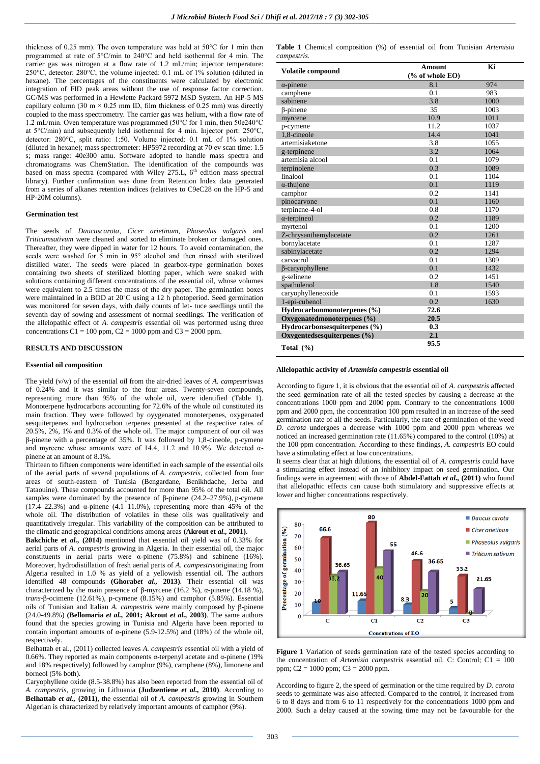thickness of 0.25 mm). The oven temperature was held at 50°C for 1 min then programmed at rate of 5°C/min to 240°C and held isothermal for 4 min. The carrier gas was nitrogen at a flow rate of 1.2 mL/min; injector temperature: 250°C, detector: 280°C; the volume injected: 0.1 mL of 1% solution (diluted in hexane). The percentages of the constituents were calculated by electronic integration of FID peak areas without the use of response factor correction. GC/MS was performed in a Hewlette Packard 5972 MSD System. An HP-5 MS capillary column (30 m  $\times$  0.25 mm ID, film thickness of 0.25 mm) was directly coupled to the mass spectrometry. The carrier gas was helium, with a flow rate of 1.2 mL/min. Oven temperature was programmed (50°C for 1 min, then 50e240°C at 5°C/min) and subsequently held isothermal for 4 min. Injector port: 250°C, detector: 280°C, split ratio: 1:50. Volume injected: 0.1 mL of 1% solution (diluted in hexane); mass spectrometer: HP5972 recording at 70 ev scan time: 1.5 s; mass range: 40e300 amu. Software adopted to handle mass spectra and chromatograms was ChemStation. The identification of the compounds was based on mass spectra (compared with Wiley 275.L, 6<sup>th</sup> edition mass spectral library). Further confirmation was done from Retention Index data generated from a series of alkanes retention indices (relatives to C9eC28 on the HP-5 and HP-20M columns).

## **Germination test**

The seeds of *Daucuscarota*, *Cicer arietinum*, *Phaseolus vulgaris* and *Triticumsativum* were cleaned and sorted to eliminate broken or damaged ones. Thereafter, they were dipped in water for 12 hours. To avoid contamination, the seeds were washed for 5 min in 95° alcohol and then rinsed with sterilized distilled water. The seeds were placed in gearbox-type germination boxes containing two sheets of sterilized blotting paper, which were soaked with solutions containing different concentrations of the essential oil, whose volumes were equivalent to 2.5 times the mass of the dry paper. The germination boxes were maintained in a BOD at 20˚C using a 12 h photoperiod. Seed germination was monitored for seven days, with daily counts of let- tuce seedlings until the seventh day of sowing and assessment of normal seedlings. The verification of the allelopathic effect of *A. campestris* essential oil was performed using three concentrations  $C1 = 100$  ppm,  $C2 = 1000$  ppm and  $C3 = 2000$  ppm.

#### **RESULTS AND DISCUSSION**

#### **Essential oil composition**

The yield (v/w) of the essential oil from the air-dried leaves of *A. campestris*was of 0.24% and it was similar to the four areas. Twenty-seven compounds, representing more than 95% of the whole oil, were identified (Table 1). Monoterpene hydrocarbons accounting for 72.6% of the whole oil constituted its main fraction. They were followed by oyygenated monoterpenes, oxygenated sesquiterpenes and hydrocarbon terpenes presented at the respective rates of 20.5%, 2%, 1% and 0.3% of the whole oil. The major component of our oil was β-pinene with a percentage of 35%. It was followed by 1,8-cineole, p-cymene and myrcene whose amounts were of 14.4, 11.2 and 10.9%. We detected  $\alpha$ pinene at an amount of 8.1%.

Thirteen to fifteen components were identified in each sample of the essential oils of the aerial parts of several populations of *A. campestris*, collected from four areas of south-eastern of Tunisia (Bengardane, Benikhdache, Jerba and Tataouine). These compounds accounted for more than 95% of the total oil. All samples were dominated by the presence of  $\beta$ -pinene (24.2–27.9%), p-cymene (17.4–22.3%) and  $\alpha$ -pinene (4.1–11.0%), representing more than 45% of the whole oil. The distribution of volatiles in these oils was qualitatively and quantitatively irregular. This variability of the composition can be attributed to the climatic and geographical conditions among areas **(Akrout et** *al.,* **2001)**.

**Bakchiche et** *al.,* **(2014)** mentioned that essential oil yield was of 0.33% for aerial parts of *A. campestris* growing in Algeria. In their essential oil, the major constituents in aerial parts were  $\alpha$ -pinene (75.8%) and sabinene (16%). Moreover, hydrodistillation of fresh aerial parts of *A. campestris*originating from Algeria resulted in 1.0 % as yield of a yellowish essential oil. The authors identified 48 compounds **(Ghorab***et al.,* **2013)**. Their essential oil was characterized by the main presence of β-myrcene (16.2 %), α-pinene (14.18 %), *trans*-β-ocimene (12.61%), p-cymene (8.15%) and camphor (5.85%). Essential oils of Tunisian and Italian *A. campestris* were mainly composed by β-pinene (24.0-49.8%) **(Bellomaria** *et al.,* **2001; Akrout** *et al.,* **2003)**. The same authors found that the species growing in Tunisia and Algeria have been reported to contain important amounts of  $\alpha$ -pinene (5.9-12.5%) and (18%) of the whole oil, respectively.

Belhattab et al., (2011) collected leaves *A. campestris* essential oil with a yield of 0.66%. They reported as main components α-terpenyl acetate and α-pinene (19% and 18% respectively) followed by camphor (9%), camphene (8%), limonene and borneol (5% both).

Caryophyllene oxide (8.5-38.8%) has also been reported from the essential oil of *A. campestris*, growing in Lithuania **(Judzentiene** *et al.,* **2010)**. According to **Belhattab** *et al.,* **(2011)**, the essential oil of *A. campestris* growing in Southern Algerian is characterized by relatively important amounts of camphor (9%).

**Table 1** Chemical composition (%) of essential oil from Tunisian *Artemisia campestris.*

| <b>Volatile compound</b>      | <b>Amount</b><br>% of whole EO | Ki   |
|-------------------------------|--------------------------------|------|
| $\alpha$ -pinene              | 8.1                            | 974  |
| camphene                      | 0.1                            | 983  |
| sabinene                      | 3.8                            | 1000 |
| $\beta$ -pinene               | 35                             | 1003 |
| myrcene                       | 10.9                           | 1011 |
| p-cymene                      | 11.2                           | 1037 |
| 1,8-cineole                   | 14.4                           | 1041 |
| artemisiaketone               | 3.8                            | 1055 |
| g-terpinene                   | 3.2                            | 1064 |
| artemisia alcool              | 0.1                            | 1079 |
| terpinolene                   | 0.3                            | 1089 |
| linalool                      | 0.1                            | 1104 |
| $\alpha$ -thujone             | 0.1                            | 1119 |
| camphor                       | 0.2                            | 1141 |
| pinocarvone                   | 0.1                            | 1160 |
| terpinene-4-ol                | 0.8                            | 1170 |
| $\alpha$ -terpineol           | 0.2                            | 1189 |
| myrtenol                      | 0.1                            | 1200 |
| Z-chrysanthemylacetate        | 0.2                            | 1261 |
| bornylacetate                 | 0.1                            | 1287 |
| sabinylacetate                | 0.2                            | 1294 |
| carvacrol                     | 0.1                            | 1309 |
| β-caryophyllene               | 0.1                            | 1432 |
| g-selinene                    | 0.2                            | 1451 |
| spathulenol                   | 1.8                            | 1540 |
| caryophylleneoxide            | 0.1                            | 1593 |
| 1-epi-cubenol                 | 0.2                            | 1630 |
| Hydrocarbonmonoterpenes (%)   | 72.6                           |      |
| Oxygenatedmonoterpenes (%)    | 20.5                           |      |
| Hydrocarbonsesquiterpenes (%) | 0.3                            |      |
| Oxygentedsesquiterpenes (%)   | 2.1                            |      |
| Total $(\% )$                 | 95.5                           |      |

#### **Allelopathic activity of** *Artemisia campestris* **essential oil**

According to figure 1, it is obvious that the essential oil of *A. campestris* affected the seed germination rate of all the tested species by causing a decrease at the concentrations 1000 ppm and 2000 ppm. Contrary to the concentrations 1000 ppm and 2000 ppm, the concentration 100 ppm resulted in an increase of the seed germination rate of all the seeds. Particularly, the rate of germination of the weed *D. carota* undergoes a decrease with 1000 ppm and 2000 ppm whereas we noticed an increased germination rate (11.65%) compared to the control (10%) at the 100 ppm concentration. According to these findings, *A. campestris* EO could have a stimulating effect at low concentrations.

It seems clear that at high dilutions, the essential oil of *A. campestris* could have a stimulating effect instead of an inhibitory impact on seed germination. Our findings were in agreement with those of **Abdel-Fattah** *et al.,* **(2011)** who found that allelopathic effects can cause both stimulatory and suppressive effects at lower and higher concentrations respectively.



Figure 1 Variation of seeds germination rate of the tested species according to the concentration of *Artemisia campestris* essential oil. C: Control; C1 = 100 ppm; C2 = 1000 ppm; C3 = 2000 ppm.

According to figure 2, the speed of germination or the time required by *D. carota* seeds to germinate was also affected. Compared to the control, it increased from 6 to 8 days and from 6 to 11 respectively for the concentrations 1000 ppm and 2000. Such a delay caused at the sowing time may not be favourable for the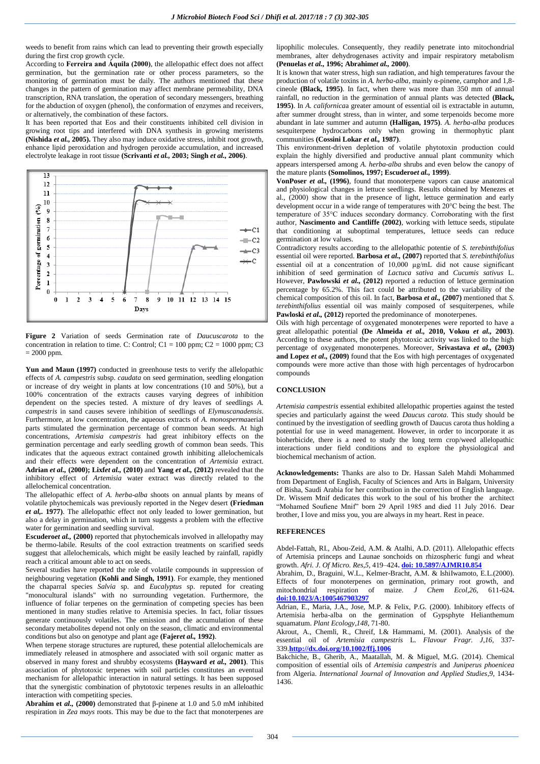weeds to benefit from rains which can lead to preventing their growth especially during the first crop growth cycle.

According to **Ferreira and Áquila (2000)**, the allelopathic effect does not affect germination, but the germination rate or other process parameters, so the monitoring of germination must be daily. The authors mentioned that these changes in the pattern of germination may affect membrane permeability, DNA transcription, RNA translation, the operation of secondary messengers, breathing for the abduction of oxygen (phenol), the conformation of enzymes and receivers, or alternatively, the combination of these factors.

It has been reported that Eos and their constituents inhibited cell division in growing root tips and interfered with DNA synthesis in growing meristems **(Nishida** *et al.,* **2005).** They also may induce oxidative stress, inhibit root growth, enhance lipid peroxidation and hydrogen peroxide accumulation, and increased electrolyte leakage in root tissue **(Scrivanti** *et al.,* **2003; Singh** *et al.,* **2006)**.



**Figure 2** Variation of seeds Germination rate of *Daucuscarota* to the concentration in relation to time. C: Control; C1 = 100 ppm; C2 = 1000 ppm; C3 = 2000 ppm.

**Yun and Maun (1997)** conducted in greenhouse tests to verify the allelopathic effects of *A. campestris* subsp. *caudata* on seed germination, seedling elongation or increase of dry weight in plants at low concentrations (10 and 50%), but a 100% concentration of the extracts causes varying degrees of inhibition dependent on the species tested. A mixture of dry leaves of seedlings *A. campestris* in sand causes severe inhibition of seedlings of *Elymuscanadensis*. Furthermore, at low concentration, the aqueous extracts of *A. monosperma*aerial parts stimulated the germination percentage of common bean seeds. At high concentrations, *Artemisia campestris* had great inhibitory effects on the germination percentage and early seedling growth of common bean seeds*.* This indicates that the aqueous extract contained growth inhibiting allelochemicals and their effects were dependent on the concentration of *Artemisia* extract. **Adrian** *et al.,* **(2000); Lixf***et al.,* **(2010)** and **Yang** *et al.,* **(2012)** revealed that the inhibitory effect of *Artemisia* water extract was directly related to the allelochemical concentration.

The allelopathic effect of *A. herba-alba* shoots on annual plants by means of volatile phytochemicals was previously reported in the Negev desert **(Friedman**  *et al,.* **1977)**. The allelopathic effect not only leaded to lower germination, but also a delay in germination, which in turn suggests a problem with the effective water for germination and seedling survival.

**Escudero***et al.,* **(2000)** reported that phytochemicals involved in allelopathy may be thermo-labile. Results of the cool extraction treatments on scarified seeds suggest that allelochemicals, which might be easily leached by rainfall, rapidly reach a critical amount able to act on seeds.

Several studies have reported the role of volatile compounds in suppression of neighbouring vegetation **(Kohli and Singh, 1991)**. For example, they mentioned the chaparral species *Salvia* sp. and *Eucalyptus* sp. reputed for creating "monocultural islands" with no surrounding vegetation. Furthermore, the influence of foliar terpenes on the germination of competing species has been mentioned in many studies relative to Artemisia species. In fact, foliar tissues generate continuously volatiles. The emission and the accumulation of these secondary metabolites depend not only on the season, climatic and environmental conditions but also on genotype and plant age **(Fajer***et al.,* **1992)**.

When terpene storage structures are ruptured, these potential allelochemicals are immediately released in atmosphere and associated with soil organic matter as observed in many forest and shrubby ecosystems **(Hayward** *et al.,* **2001)**. This association of phytotoxic terpenes with soil particles constitutes an eventual mechanism for allelopathic interaction in natural settings. It has been supposed that the synergistic combination of phytotoxic terpenes results in an alleloathic interaction with competiting species.

**Abrahim et** *al.,* **(2000)** demonstrated that β-pinene at 1.0 and 5.0 mM inhibited respiration in *Zea mays* roots. This may be due to the fact that monoterpenes are

lipophilic molecules. Consequently, they readily penetrate into mitochondrial membranes, alter dehydrogenases activity and impair respiratory metabolism **(Penuelas** *et al.,* **1996; Abrahim***et al.,* **2000)**.

It is known that water stress, high sun radiation, and high temperatures favour the production of volatile toxins in *A. herba-alba*, mainly α-pinene, camphor and 1,8 cineole **(Black, 1995)**. In fact, when there was more than 350 mm of annual rainfall, no reduction in the germination of annual plants was detected **(Black, 1995)**. In *A. californica*a greater amount of essential oil is extractable in autumn, after summer drought stress, than in winter, and some terpenoids become more abundant in late summer and autumn **(Halligan, 1975)**. *A. herba-alba* produces sesquiterpene hydrocarbons only when growing in thermophytic plant communities **(Cossini Lokar** *et al.,* **1987)**.

This environment-driven depletion of volatile phytotoxin production could explain the highly diversified and productive annual plant community which appears interspersed among *A. herba-alba* shrubs and even below the canopy of the mature plants **(Somolinos, 1997; Escudero***et al.,* **1999)**.

**VonPoser** *et al.,* **(1996)**, found that monoterpene vapors can cause anatomical and physiological changes in lettuce seedlings. Results obtained by Menezes et al., (2000) show that in the presence of light, lettuce germination and early development occur in a wide range of temperatures with 20°C being the best. The temperature of 35°C induces secondary dormancy. Corroborating with the first author, **Nascimento and Cantliffe (2002)**, working with lettuce seeds, stipulate that conditioning at suboptimal temperatures, lettuce seeds can reduce germination at low values.

Contradictory results according to the allelopathic potentie of *S. terebinthifolius* essential oil were reported. **Barbosa** *et al.,* **(2007)** reported that *S. terebinthifolius* essential oil at a concentration of 10,000 µg/mL did not cause significant inhibition of seed germination of *Lactuca sativa* and *Cucumis sativus* L. However, **Pawlowski** *et al.,* **(2012)** reported a reduction of lettuce germination percentage by 65.2%. This fact could be attributed to the variability of the chemical composition of this oil. In fact, **Barbosa** *et al.,* **(2007)** mentioned that *S. terebinthifolius* essential oil was mainly composed of sesquiterpenes, while Pawloski *et al.*, (2012) reported the predominance of monoterpenes.

Oils with high percentage of oxygenated monoterpenes were reported to have a great allelopathic potential **(De Almeida** *et al.,* **2010, Vokou** *et al.,* **2003)**. According to these authors, the potent phytotoxic activity was linked to the high percentage of oxygenated monoterpenes. Moreover, **Srivastava** *et al.,* **(2003) and Lopez** *et al.,* **(2009)** found that the Eos with high percentages of oxygenated compounds were more active than those with high percentages of hydrocarbon compounds

## **CONCLUSION**

*Artemisia campestris* essential exhibited allelopathic properties against the tested species and particularly against the weed *Daucus carota*. This study should be continued by the investigation of seedling growth of Daucus carota thus holding a potential for use in weed management. However, in order to incorporate it as bioherbicide, there is a need to study the long term crop/weed allelopathic interactions under field conditions and to explore the physiological and biochemical mechanism of action.

**Acknowledgements:** Thanks are also to Dr. Hassan Saleh Mahdi Mohammed from Department of English, Faculty of Sciences and Arts in Balgarn, University of Bisha, Saudi Arabia for her contribution in the correction of English language. Dr. Wissem Mnif dedicates this work to the soul of his brother the architect "Mohamed Soufiene Mnif" born 29 April 1985 and died 11 July 2016. Dear brother, I love and miss you, you are always in my heart. Rest in peace.

## **REFERENCES**

Abdel-Fattah, RI., Abou-Zeid, A.M. & Atalhi, A.D. (2011). Allelopathic effects of Artemisia princeps and Launae sonchoids on rhizospheric fungi and wheat growth. *Afri. J. Of Micro. Res*,*5*, 419–424**. doi: 10.5897/AJMR10.854**

Abrahim, D., Braguini, W.L., Kelmer-Bracht, A.M. & IshiIwamoto, E.L.(2000). Effects of four monoterpenes on germination, primary root growth, and mitochondrial respiration of maize. *J Chem Ecol*,*26*, 611-624**. doi:10.1023/A:1005467903297**

Adrian, E., Maria, J.A., Jose, M.P. & Felix, P.G. (2000). Inhibitory effects of Artemisia herba-alba on the germination of Gypsphyte Helianthemum squamatum. *Plant Ecology*,*148*, 71-80.

Akrout, A., Chemli, R., Chreif, I.& Hammami, M. (2001). Analysis of the essential oil of *Artemisia campestris* L. *Flavour Fragr. J*,*16*, 337- 339.**http://dx.doi.org/10.1002/ffj.1006**

Bakchiche, B., Gherib, A., Maatallah, M. & Miguel, M.G. (2014). Chemical composition of essential oils of *Artemisia campestris* and *Juniperus phoenicea* from Algeria. *International Journal of Innovation and Applied Studies*,*9*, 1434- 1436.